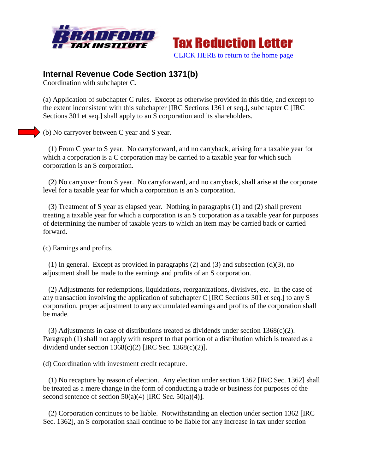



## **Internal Revenue Code Section 1371(b)**

Coordination with subchapter C.

(a) Application of subchapter C rules. Except as otherwise provided in this title, and except to the extent inconsistent with this subchapter [IRC Sections 1361 et seq.], subchapter C [IRC Sections 301 et seq.] shall apply to an S corporation and its shareholders.

(b) No carryover between C year and S year.

 (1) From C year to S year. No carryforward, and no carryback, arising for a taxable year for which a corporation is a C corporation may be carried to a taxable year for which such corporation is an S corporation.

 (2) No carryover from S year. No carryforward, and no carryback, shall arise at the corporate level for a taxable year for which a corporation is an S corporation.

 (3) Treatment of S year as elapsed year. Nothing in paragraphs (1) and (2) shall prevent treating a taxable year for which a corporation is an S corporation as a taxable year for purposes of determining the number of taxable years to which an item may be carried back or carried forward.

(c) Earnings and profits.

(1) In general. Except as provided in paragraphs  $(2)$  and  $(3)$  and subsection  $(d)(3)$ , no adjustment shall be made to the earnings and profits of an S corporation.

 (2) Adjustments for redemptions, liquidations, reorganizations, divisives, etc. In the case of any transaction involving the application of subchapter C [IRC Sections 301 et seq.] to any S corporation, proper adjustment to any accumulated earnings and profits of the corporation shall be made.

(3) Adjustments in case of distributions treated as dividends under section  $1368(c)(2)$ . Paragraph (1) shall not apply with respect to that portion of a distribution which is treated as a dividend under section  $1368(c)(2)$  [IRC Sec.  $1368(c)(2)$ ].

(d) Coordination with investment credit recapture.

 (1) No recapture by reason of election. Any election under section 1362 [IRC Sec. 1362] shall be treated as a mere change in the form of conducting a trade or business for purposes of the second sentence of section  $50(a)(4)$  [IRC Sec.  $50(a)(4)$ ].

 (2) Corporation continues to be liable. Notwithstanding an election under section 1362 [IRC Sec. 1362], an S corporation shall continue to be liable for any increase in tax under section